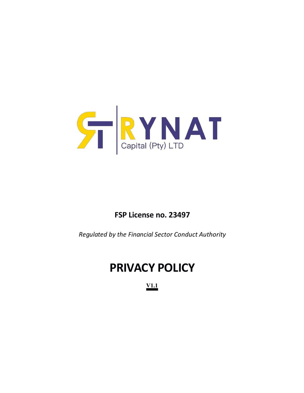

# **FSP License no. 23497**

*Regulated by the Financial Sector Conduct Authority*

# **PRIVACY POLICY**

**V1.1**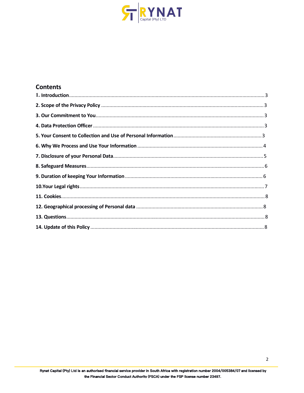

#### **Contents**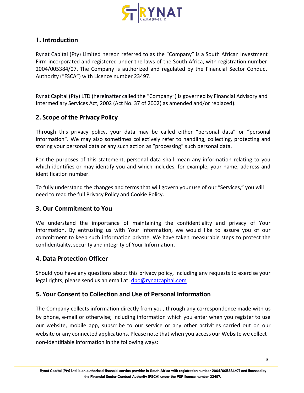

# **1. Introduction**

Rynat Capital (Pty) Limited hereon referred to as the "Company" is a South African Investment Firm incorporated and registered under the laws of the South Africa, with registration number 2004/005384/07. The Company is authorized and regulated by the Financial Sector Conduct Authority ("FSCA") with Licence number 23497.

Rynat Capital (Pty) LTD (hereinafter called the "Company") is governed by Financial Advisory and Intermediary Services Act, 2002 (Act No. 37 of 2002) as amended and/or replaced).

## **2. Scope of the Privacy Policy**

Through this privacy policy, your data may be called either "personal data" or "personal information". We may also sometimes collectively refer to handling, collecting, protecting and storing your personal data or any such action as "processing" such personal data.

For the purposes of this statement, personal data shall mean any information relating to you which identifies or may identify you and which includes, for example, your name, address and identification number.

To fully understand the changes and terms that will govern your use of our "Services," you will need to read the full Privacy Policy and Cookie Policy.

## **3. Our Commitment to You**

We understand the importance of maintaining the confidentiality and privacy of Your Information. By entrusting us with Your Information, we would like to assure you of our commitment to keep such information private. We have taken measurable steps to protect the confidentiality, security and integrity of Your Information.

## **4. Data Protection Officer**

Should you have any questions about this privacy policy, including any requests to exercise your legal rights, please send us an email at: [dpo@rynatcapital.com](mailto:dpo@rynatcapital.com)

## **5. Your Consent to Collection and Use of Personal Information**

The Company collects information directly from you, through any correspondence made with us by phone, e-mail or otherwise; including information which you enter when you registerto use our website, mobile app, subscribe to our service or any other activities carried out on our website or any connected applications. Please note that when you access our Website we collect non-identifiable information in the following ways: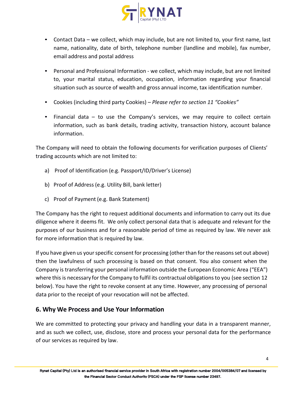

- Contact Data we collect, which may include, but are not limited to, your first name, last name, nationality, date of birth, telephone number (landline and mobile), fax number, email address and postal address
- Personal and Professional Information we collect, which may include, but are not limited to, your marital status, education, occupation, information regarding your financial situation such as source of wealth and gross annual income, tax identification number.
- Cookies (including third party Cookies) *Please refer to section 11 "Cookies"*
- Financial data to use the Company's services, we may require to collect certain information, such as bank details, trading activity, transaction history, account balance information.

The Company will need to obtain the following documents for verification purposes of Clients' trading accounts which are not limited to:

- a) Proof of Identification (e.g. Passport/ID/Driver's License)
- b) Proof of Address (e.g. Utility Bill, bank letter)
- c) Proof of Payment (e.g. Bank Statement)

The Company has the right to request additional documents and information to carry out its due diligence where it deems fit. We only collect personal data that is adequate and relevantfor the purposes of our business and for a reasonable period of time as required by law. We never ask for more information that is required by law.

If you have given us your specific consent for processing (other than for the reasons set out above) then the lawfulness of such processing is based on that consent. You also consent when the Company is transferring your personal information outside the European Economic Area ("EEA") where this is necessary for the Company to fulfil its contractual obligations to you (see section 12 below). You have the right to revoke consent at any time. However, any processing of personal data prior to the receipt of your revocation will not be affected.

## **6. Why We Process and Use Your Information**

We are committed to protecting your privacy and handling your data in a transparent manner, and as such we collect, use, disclose, store and process your personal data for the performance of our services as required by law.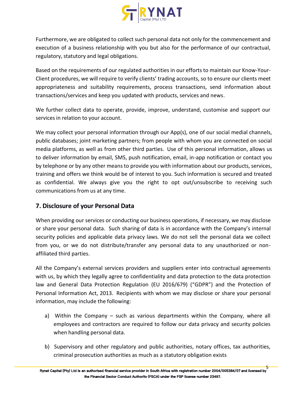

Furthermore, we are obligated to collect such personal data not only for the commencement and execution of a business relationship with you but also for the performance of our contractual, regulatory, statutory and legal obligations.

Based on the requirements of our regulated authorities in our efforts to maintain our Know-Your- Client procedures, we will require to verify clients' trading accounts, so to ensure our clients meet appropriateness and suitability requirements, process transactions, send information about transactions/services and keep you updated with products, services and news.

We further collect data to operate, provide, improve, understand, customise and support our services in relation to your account.

We may collect your personal information through our App(s), one of our social medial channels, public databases; joint marketing partners; from people with whom you are connected on social media platforms, as well as from other third parties. Use of this personal information, allows us to deliver information by email, SMS, push notification,email, in-app notification or contact you by telephone or by any other meansto provide you with information about our products, services, training and offers we think would be of interest to you. Such information is secured and treated as confidential. We always give you the right to opt out/unsubscribe to receiving such communications from us at any time.

# **7. Disclosure of your Personal Data**

When providing our services or conducting our business operations, if necessary, we may disclose or share your personal data. Such sharing of data is in accordance with the Company's internal security policies and applicable data privacy laws. We do not sell the personal data we collect from you, or we do not distribute/transfer any personal data to any unauthorized or non affiliated third parties.

All the Company's external services providers and suppliers enter into contractual agreements with us, by which they legally agree to confidentiality and data protection to the data protection law and General Data Protection Regulation (EU 2016/679) ("GDPR") and the Protection of Personal Information Act, 2013. Recipients with whom we may disclose or share your personal information, may include the following:

- a) Within the Company such as various departments within the Company, where all employees and contractors are required to follow our data privacy and security policies when handling personal data.
- b) Supervisory and other regulatory and public authorities, notary offices, tax authorities, criminal prosecution authorities as much as a statutory obligation exists

5<br>Rynat Capital (Pty) Ltd is an authorised financial service provider in South Africa with registration number 2004/005384/07 and licensed by **the Financial Sector Conduct Authority (FSCA) under the FSP license number 23497.**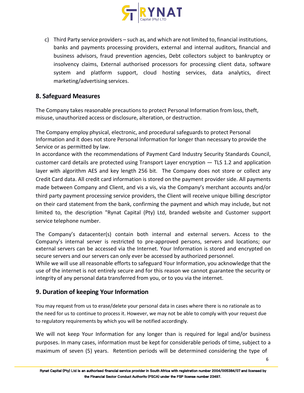

c) Third Party service providers – such as, and which are not limited to, financial institutions, banks and payments processing providers, external and internal auditors, financial and business advisors, fraud prevention agencies, Debt collectors subject to bankruptcy or insolvency claims, External authorised processors for processing client data, software system and platform support, cloud hosting services, data analytics, direct marketing/advertising services.

# **8. Safeguard Measures**

The Company takes reasonable precautions to protect Personal Information from loss, theft, misuse, unauthorized access or disclosure, alteration, or destruction.

The Company employ physical, electronic, and procedural safeguards to protect Personal Information and it does not store Personal Information for longer than necessary to provide the Service or as permitted by law.

In accordance with the recommendations of Payment Card Industry Security Standards Council, customer card details are protected using Transport Layer encryption — TLS 1.2 and application layer with algorithm AES and key length 256 bit. The Company does not store or collect any Credit Card data. All credit card information is stored on the payment provider side. All payments made between Company and Client, and vis a vis, via the Company's merchant accounts and/or third party payment processing service providers, the Client will receive unique billing descriptor on their card statement from the bank, confirming the payment and which may include, but not limited to, the description "Rynat Capital (Pty) Ltd, branded website and Customer support service telephone number.

The Company's datacenter(s) contain both internal and external servers. Access to the Company's internal server is restricted to pre-approved persons, servers and locations; our external servers can be accessed via the Internet. Your Information is stored and encrypted on secure servers and our servers can only everbe accessed by authorized personnel.

While we will use all reasonable efforts to safeguard Your Information, you acknowledge that the use of the internet is not entirely secure and for this reason we cannot guarantee the security or integrity of any personal data transferred from you, or to you via the internet.

# **9. Duration of keeping Your Information**

You may request from us to erase/delete your personal data in cases where there is no rationale as to the need for us to continue to process it. However, we may not be able to comply with your request due to regulatory requirements by which you will be notified accordingly.

We will not keep Your Information for any longer than is required for legal and/or business purposes. In many cases, information must be kept for considerable periods of time, subject to a maximum of seven (5) years. Retention periods will be determined considering the type of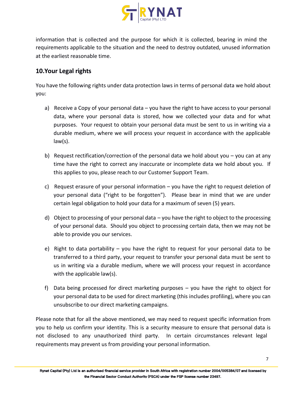

information that is collected and the purpose for which it is collected, bearing in mind the requirements applicable to the situation and the need to destroy outdated, unused information at the earliest reasonable time.

# **10.Your Legal rights**

You have the following rights under data protection laws in terms of personal data we hold about you:

- a) Receive a Copy of your personal data you have the right to have access to your personal data, where your personal data is stored, how we collected your data and for what purposes. Your request to obtain your personal data must be sent to us in writing via a durable medium, where we will process your request in accordance with the applicable law(s).
- b) Request rectification/correction of the personal data we hold about you you can at any time have the right to correct any inaccurate or incomplete data we hold about you. If this applies to you, please reach to our Customer Support Team.
- c) Request erasure of your personal information  $-$  you have the right to request deletion of your personal data ("right to be forgotten"). Please bear in mind that we are under certain legal obligation to hold your data for a maximum of seven (5) years.
- d) Object to processing of your personal data you have the right to object to the processing of your personal data. Should you object to processing certain data, then we may not be able to provide you our services.
- e) Right to data portability you have the right to request for your personal data to be transferred to a third party, your request to transfer your personal data must be sent to us in writing via a durable medium, where we will process your request in accordance with the applicable law(s).
- f) Data being processed for direct marketing purposes you have the right to object for your personal data to be used for direct marketing (this includes profiling), where you can unsubscribe to our direct marketing campaigns.

Please note that for all the above mentioned, we may need to request specific information from you to help us confirm your identity. This is a security measure to ensure that personal data is not disclosed to any unauthorized third party. In certain circumstances relevant legal requirements may prevent us from providing your personal information.